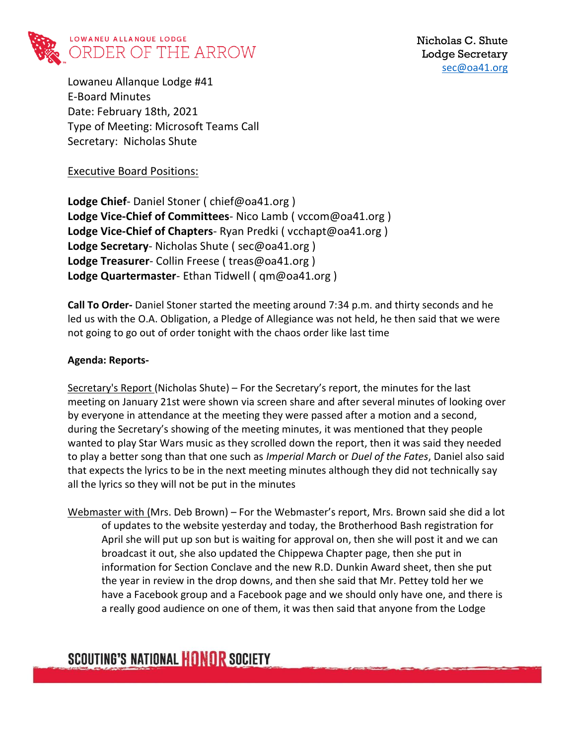

Lowaneu Allanque Lodge #41 E-Board Minutes Date: February 18th, 2021 Type of Meeting: Microsoft Teams Call Secretary: Nicholas Shute

Executive Board Positions:

**Lodge Chief**- Daniel Stoner ( chief@oa41.org ) **Lodge Vice-Chief of Committees**- Nico Lamb ( vccom@oa41.org ) **Lodge Vice-Chief of Chapters**- Ryan Predki ( vcchapt@oa41.org ) **Lodge Secretary**- Nicholas Shute ( sec@oa41.org ) **Lodge Treasurer**- Collin Freese ( treas@oa41.org ) **Lodge Quartermaster**- Ethan Tidwell ( qm@oa41.org )

**Call To Order-** Daniel Stoner started the meeting around 7:34 p.m. and thirty seconds and he led us with the O.A. Obligation, a Pledge of Allegiance was not held, he then said that we were not going to go out of order tonight with the chaos order like last time

### **Agenda: Reports-**

Secretary's Report (Nicholas Shute) – For the Secretary's report, the minutes for the last meeting on January 21st were shown via screen share and after several minutes of looking over by everyone in attendance at the meeting they were passed after a motion and a second, during the Secretary's showing of the meeting minutes, it was mentioned that they people wanted to play Star Wars music as they scrolled down the report, then it was said they needed to play a better song than that one such as *Imperial March* or *Duel of the Fates*, Daniel also said that expects the lyrics to be in the next meeting minutes although they did not technically say all the lyrics so they will not be put in the minutes

Webmaster with (Mrs. Deb Brown) – For the Webmaster's report, Mrs. Brown said she did a lot of updates to the website yesterday and today, the Brotherhood Bash registration for April she will put up son but is waiting for approval on, then she will post it and we can broadcast it out, she also updated the Chippewa Chapter page, then she put in information for Section Conclave and the new R.D. Dunkin Award sheet, then she put the year in review in the drop downs, and then she said that Mr. Pettey told her we have a Facebook group and a Facebook page and we should only have one, and there is a really good audience on one of them, it was then said that anyone from the Lodge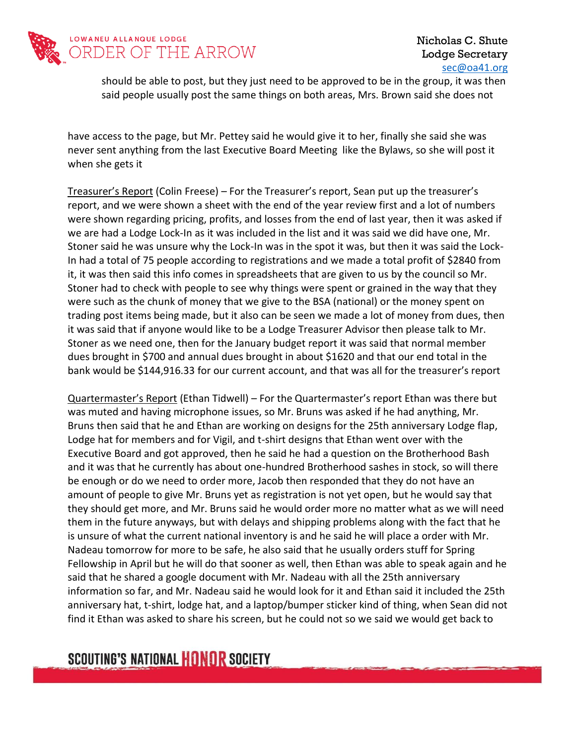

should be able to post, but they just need to be approved to be in the group, it was then said people usually post the same things on both areas, Mrs. Brown said she does not

have access to the page, but Mr. Pettey said he would give it to her, finally she said she was never sent anything from the last Executive Board Meeting like the Bylaws, so she will post it when she gets it

Treasurer's Report (Colin Freese) – For the Treasurer's report, Sean put up the treasurer's report, and we were shown a sheet with the end of the year review first and a lot of numbers were shown regarding pricing, profits, and losses from the end of last year, then it was asked if we are had a Lodge Lock-In as it was included in the list and it was said we did have one, Mr. Stoner said he was unsure why the Lock-In was in the spot it was, but then it was said the Lock-In had a total of 75 people according to registrations and we made a total profit of \$2840 from it, it was then said this info comes in spreadsheets that are given to us by the council so Mr. Stoner had to check with people to see why things were spent or grained in the way that they were such as the chunk of money that we give to the BSA (national) or the money spent on trading post items being made, but it also can be seen we made a lot of money from dues, then it was said that if anyone would like to be a Lodge Treasurer Advisor then please talk to Mr. Stoner as we need one, then for the January budget report it was said that normal member dues brought in \$700 and annual dues brought in about \$1620 and that our end total in the bank would be \$144,916.33 for our current account, and that was all for the treasurer's report

Quartermaster's Report (Ethan Tidwell) – For the Quartermaster's report Ethan was there but was muted and having microphone issues, so Mr. Bruns was asked if he had anything, Mr. Bruns then said that he and Ethan are working on designs for the 25th anniversary Lodge flap, Lodge hat for members and for Vigil, and t-shirt designs that Ethan went over with the Executive Board and got approved, then he said he had a question on the Brotherhood Bash and it was that he currently has about one-hundred Brotherhood sashes in stock, so will there be enough or do we need to order more, Jacob then responded that they do not have an amount of people to give Mr. Bruns yet as registration is not yet open, but he would say that they should get more, and Mr. Bruns said he would order more no matter what as we will need them in the future anyways, but with delays and shipping problems along with the fact that he is unsure of what the current national inventory is and he said he will place a order with Mr. Nadeau tomorrow for more to be safe, he also said that he usually orders stuff for Spring Fellowship in April but he will do that sooner as well, then Ethan was able to speak again and he said that he shared a google document with Mr. Nadeau with all the 25th anniversary information so far, and Mr. Nadeau said he would look for it and Ethan said it included the 25th anniversary hat, t-shirt, lodge hat, and a laptop/bumper sticker kind of thing, when Sean did not find it Ethan was asked to share his screen, but he could not so we said we would get back to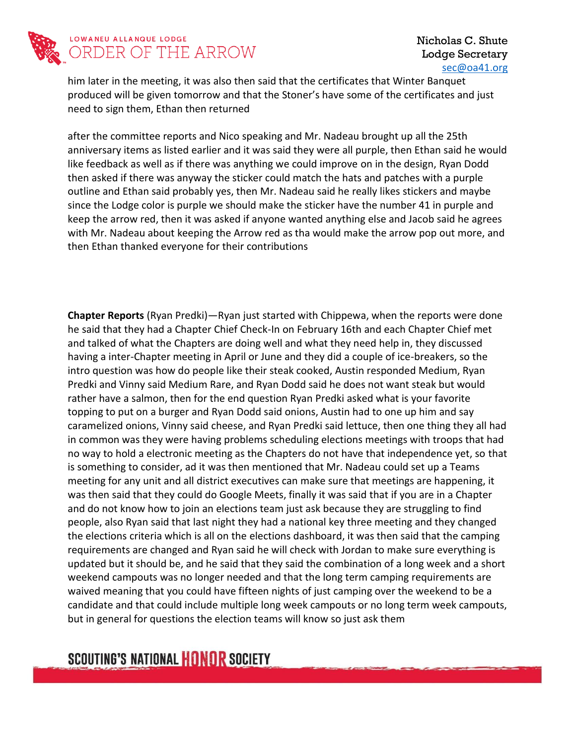

him later in the meeting, it was also then said that the certificates that Winter Banquet produced will be given tomorrow and that the Stoner's have some of the certificates and just need to sign them, Ethan then returned

after the committee reports and Nico speaking and Mr. Nadeau brought up all the 25th anniversary items as listed earlier and it was said they were all purple, then Ethan said he would like feedback as well as if there was anything we could improve on in the design, Ryan Dodd then asked if there was anyway the sticker could match the hats and patches with a purple outline and Ethan said probably yes, then Mr. Nadeau said he really likes stickers and maybe since the Lodge color is purple we should make the sticker have the number 41 in purple and keep the arrow red, then it was asked if anyone wanted anything else and Jacob said he agrees with Mr. Nadeau about keeping the Arrow red as tha would make the arrow pop out more, and then Ethan thanked everyone for their contributions

**Chapter Reports** (Ryan Predki)—Ryan just started with Chippewa, when the reports were done he said that they had a Chapter Chief Check-In on February 16th and each Chapter Chief met and talked of what the Chapters are doing well and what they need help in, they discussed having a inter-Chapter meeting in April or June and they did a couple of ice-breakers, so the intro question was how do people like their steak cooked, Austin responded Medium, Ryan Predki and Vinny said Medium Rare, and Ryan Dodd said he does not want steak but would rather have a salmon, then for the end question Ryan Predki asked what is your favorite topping to put on a burger and Ryan Dodd said onions, Austin had to one up him and say caramelized onions, Vinny said cheese, and Ryan Predki said lettuce, then one thing they all had in common was they were having problems scheduling elections meetings with troops that had no way to hold a electronic meeting as the Chapters do not have that independence yet, so that is something to consider, ad it was then mentioned that Mr. Nadeau could set up a Teams meeting for any unit and all district executives can make sure that meetings are happening, it was then said that they could do Google Meets, finally it was said that if you are in a Chapter and do not know how to join an elections team just ask because they are struggling to find people, also Ryan said that last night they had a national key three meeting and they changed the elections criteria which is all on the elections dashboard, it was then said that the camping requirements are changed and Ryan said he will check with Jordan to make sure everything is updated but it should be, and he said that they said the combination of a long week and a short weekend campouts was no longer needed and that the long term camping requirements are waived meaning that you could have fifteen nights of just camping over the weekend to be a candidate and that could include multiple long week campouts or no long term week campouts, but in general for questions the election teams will know so just ask them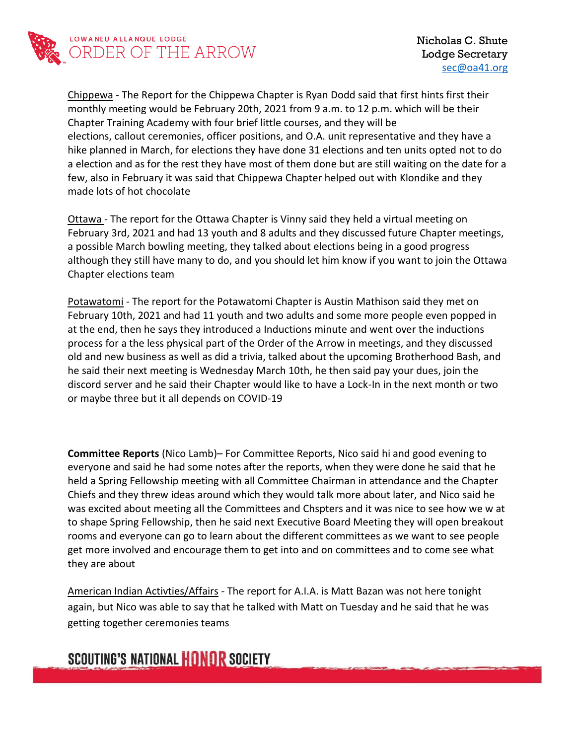

Chippewa - The Report for the Chippewa Chapter is Ryan Dodd said that first hints first their monthly meeting would be February 20th, 2021 from 9 a.m. to 12 p.m. which will be their Chapter Training Academy with four brief little courses, and they will be elections, callout ceremonies, officer positions, and O.A. unit representative and they have a hike planned in March, for elections they have done 31 elections and ten units opted not to do a election and as for the rest they have most of them done but are still waiting on the date for a few, also in February it was said that Chippewa Chapter helped out with Klondike and they made lots of hot chocolate

Ottawa - The report for the Ottawa Chapter is Vinny said they held a virtual meeting on February 3rd, 2021 and had 13 youth and 8 adults and they discussed future Chapter meetings, a possible March bowling meeting, they talked about elections being in a good progress although they still have many to do, and you should let him know if you want to join the Ottawa Chapter elections team

Potawatomi - The report for the Potawatomi Chapter is Austin Mathison said they met on February 10th, 2021 and had 11 youth and two adults and some more people even popped in at the end, then he says they introduced a Inductions minute and went over the inductions process for a the less physical part of the Order of the Arrow in meetings, and they discussed old and new business as well as did a trivia, talked about the upcoming Brotherhood Bash, and he said their next meeting is Wednesday March 10th, he then said pay your dues, join the discord server and he said their Chapter would like to have a Lock-In in the next month or two or maybe three but it all depends on COVID-19

**Committee Reports** (Nico Lamb)– For Committee Reports, Nico said hi and good evening to everyone and said he had some notes after the reports, when they were done he said that he held a Spring Fellowship meeting with all Committee Chairman in attendance and the Chapter Chiefs and they threw ideas around which they would talk more about later, and Nico said he was excited about meeting all the Committees and Chspters and it was nice to see how we w at to shape Spring Fellowship, then he said next Executive Board Meeting they will open breakout rooms and everyone can go to learn about the different committees as we want to see people get more involved and encourage them to get into and on committees and to come see what they are about

American Indian Activties/Affairs - The report for A.I.A. is Matt Bazan was not here tonight again, but Nico was able to say that he talked with Matt on Tuesday and he said that he was getting together ceremonies teams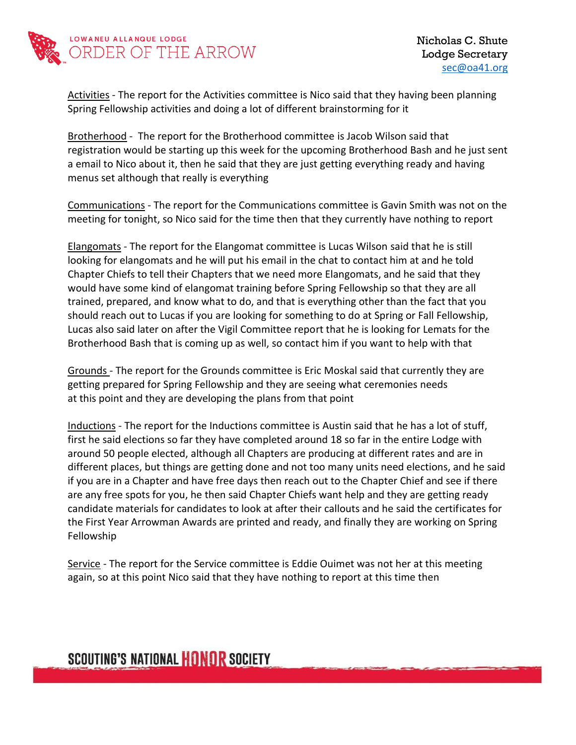

Activities - The report for the Activities committee is Nico said that they having been planning Spring Fellowship activities and doing a lot of different brainstorming for it

Brotherhood - The report for the Brotherhood committee is Jacob Wilson said that registration would be starting up this week for the upcoming Brotherhood Bash and he just sent a email to Nico about it, then he said that they are just getting everything ready and having menus set although that really is everything

Communications - The report for the Communications committee is Gavin Smith was not on the meeting for tonight, so Nico said for the time then that they currently have nothing to report

Elangomats - The report for the Elangomat committee is Lucas Wilson said that he is still looking for elangomats and he will put his email in the chat to contact him at and he told Chapter Chiefs to tell their Chapters that we need more Elangomats, and he said that they would have some kind of elangomat training before Spring Fellowship so that they are all trained, prepared, and know what to do, and that is everything other than the fact that you should reach out to Lucas if you are looking for something to do at Spring or Fall Fellowship, Lucas also said later on after the Vigil Committee report that he is looking for Lemats for the Brotherhood Bash that is coming up as well, so contact him if you want to help with that

Grounds - The report for the Grounds committee is Eric Moskal said that currently they are getting prepared for Spring Fellowship and they are seeing what ceremonies needs at this point and they are developing the plans from that point

Inductions - The report for the Inductions committee is Austin said that he has a lot of stuff, first he said elections so far they have completed around 18 so far in the entire Lodge with around 50 people elected, although all Chapters are producing at different rates and are in different places, but things are getting done and not too many units need elections, and he said if you are in a Chapter and have free days then reach out to the Chapter Chief and see if there are any free spots for you, he then said Chapter Chiefs want help and they are getting ready candidate materials for candidates to look at after their callouts and he said the certificates for the First Year Arrowman Awards are printed and ready, and finally they are working on Spring Fellowship

Service - The report for the Service committee is Eddie Ouimet was not her at this meeting again, so at this point Nico said that they have nothing to report at this time then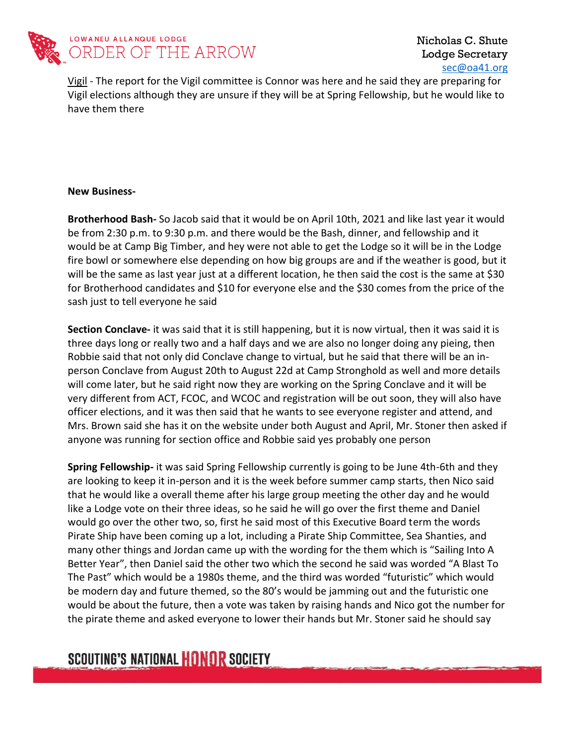

Vigil - The report for the Vigil committee is Connor was here and he said they are preparing for Vigil elections although they are unsure if they will be at Spring Fellowship, but he would like to have them there

### **New Business-**

**Brotherhood Bash-** So Jacob said that it would be on April 10th, 2021 and like last year it would be from 2:30 p.m. to 9:30 p.m. and there would be the Bash, dinner, and fellowship and it would be at Camp Big Timber, and hey were not able to get the Lodge so it will be in the Lodge fire bowl or somewhere else depending on how big groups are and if the weather is good, but it will be the same as last year just at a different location, he then said the cost is the same at \$30 for Brotherhood candidates and \$10 for everyone else and the \$30 comes from the price of the sash just to tell everyone he said

**Section Conclave-** it was said that it is still happening, but it is now virtual, then it was said it is three days long or really two and a half days and we are also no longer doing any pieing, then Robbie said that not only did Conclave change to virtual, but he said that there will be an inperson Conclave from August 20th to August 22d at Camp Stronghold as well and more details will come later, but he said right now they are working on the Spring Conclave and it will be very different from ACT, FCOC, and WCOC and registration will be out soon, they will also have officer elections, and it was then said that he wants to see everyone register and attend, and Mrs. Brown said she has it on the website under both August and April, Mr. Stoner then asked if anyone was running for section office and Robbie said yes probably one person

**Spring Fellowship-** it was said Spring Fellowship currently is going to be June 4th-6th and they are looking to keep it in-person and it is the week before summer camp starts, then Nico said that he would like a overall theme after his large group meeting the other day and he would like a Lodge vote on their three ideas, so he said he will go over the first theme and Daniel would go over the other two, so, first he said most of this Executive Board term the words Pirate Ship have been coming up a lot, including a Pirate Ship Committee, Sea Shanties, and many other things and Jordan came up with the wording for the them which is "Sailing Into A Better Year", then Daniel said the other two which the second he said was worded "A Blast To The Past" which would be a 1980s theme, and the third was worded "futuristic" which would be modern day and future themed, so the 80's would be jamming out and the futuristic one would be about the future, then a vote was taken by raising hands and Nico got the number for the pirate theme and asked everyone to lower their hands but Mr. Stoner said he should say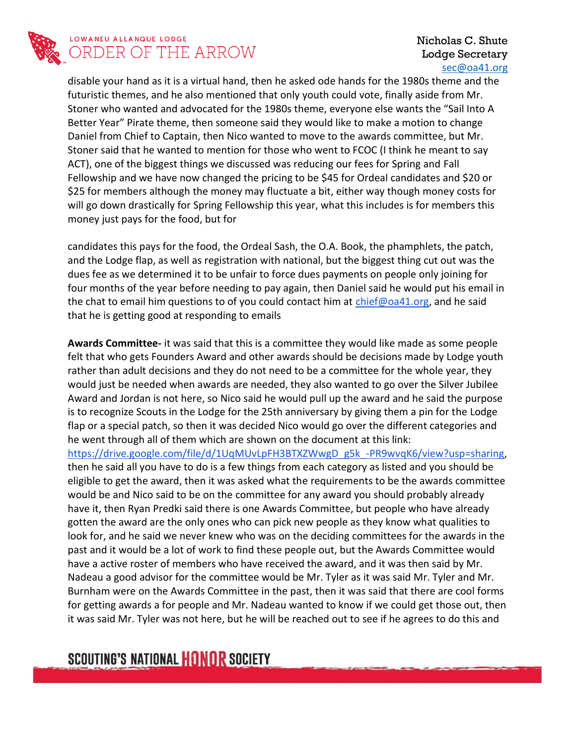

### Nicholas C. Shute Lodge Secretary [sec@oa41.org](mailto:sec@oa41.org)

disable your hand as it is a virtual hand, then he asked ode hands for the 1980s theme and the futuristic themes, and he also mentioned that only youth could vote, finally aside from Mr. Stoner who wanted and advocated for the 1980s theme, everyone else wants the "Sail Into A Better Year" Pirate theme, then someone said they would like to make a motion to change Daniel from Chief to Captain, then Nico wanted to move to the awards committee, but Mr. Stoner said that he wanted to mention for those who went to FCOC (I think he meant to say ACT), one of the biggest things we discussed was reducing our fees for Spring and Fall Fellowship and we have now changed the pricing to be \$45 for Ordeal candidates and \$20 or \$25 for members although the money may fluctuate a bit, either way though money costs for will go down drastically for Spring Fellowship this year, what this includes is for members this money just pays for the food, but for

candidates this pays for the food, the Ordeal Sash, the O.A. Book, the phamphlets, the patch, and the Lodge flap, as well as registration with national, but the biggest thing cut out was the dues fee as we determined it to be unfair to force dues payments on people only joining for four months of the year before needing to pay again, then Daniel said he would put his email in the chat to email him questions to of you could contact him at [chief@oa41.org,](mailto:chief@oa41.org) and he said that he is getting good at responding to emails

**Awards Committee-** it was said that this is a committee they would like made as some people felt that who gets Founders Award and other awards should be decisions made by Lodge youth rather than adult decisions and they do not need to be a committee for the whole year, they would just be needed when awards are needed, they also wanted to go over the Silver Jubilee Award and Jordan is not here, so Nico said he would pull up the award and he said the purpose is to recognize Scouts in the Lodge for the 25th anniversary by giving them a pin for the Lodge flap or a special patch, so then it was decided Nico would go over the different categories and he went through all of them which are shown on the document at this link: [https://drive.google.com/file/d/1UqMUvLpFH3BTXZWwgD\\_g5k\\_-PR9wvqK6/view?usp=sharing,](https://drive.google.com/file/d/1UqMUvLpFH3BTXZWwgD_g5k_-PR9wvqK6/view?usp=sharing) then he said all you have to do is a few things from each category as listed and you should be eligible to get the award, then it was asked what the requirements to be the awards committee would be and Nico said to be on the committee for any award you should probably already have it, then Ryan Predki said there is one Awards Committee, but people who have already gotten the award are the only ones who can pick new people as they know what qualities to look for, and he said we never knew who was on the deciding committees for the awards in the past and it would be a lot of work to find these people out, but the Awards Committee would have a active roster of members who have received the award, and it was then said by Mr. Nadeau a good advisor for the committee would be Mr. Tyler as it was said Mr. Tyler and Mr. Burnham were on the Awards Committee in the past, then it was said that there are cool forms for getting awards a for people and Mr. Nadeau wanted to know if we could get those out, then it was said Mr. Tyler was not here, but he will be reached out to see if he agrees to do this and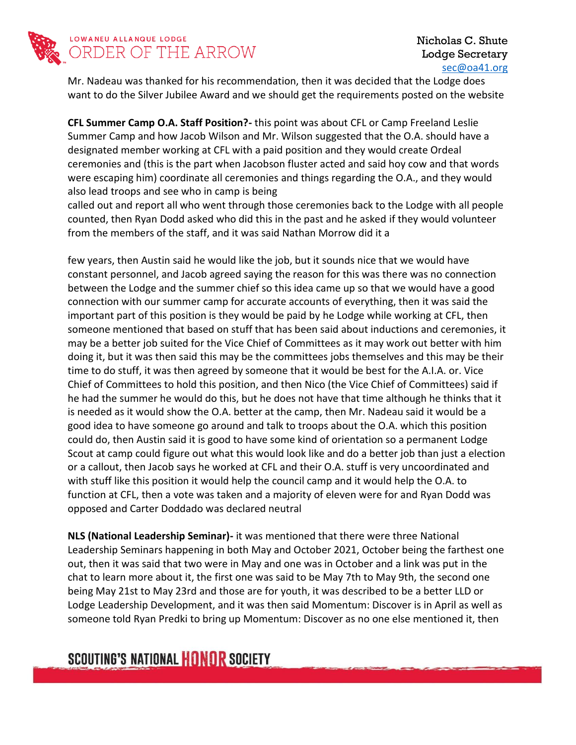

Mr. Nadeau was thanked for his recommendation, then it was decided that the Lodge does want to do the Silver Jubilee Award and we should get the requirements posted on the website

**CFL Summer Camp O.A. Staff Position?-** this point was about CFL or Camp Freeland Leslie Summer Camp and how Jacob Wilson and Mr. Wilson suggested that the O.A. should have a designated member working at CFL with a paid position and they would create Ordeal ceremonies and (this is the part when Jacobson fluster acted and said hoy cow and that words were escaping him) coordinate all ceremonies and things regarding the O.A., and they would also lead troops and see who in camp is being

called out and report all who went through those ceremonies back to the Lodge with all people counted, then Ryan Dodd asked who did this in the past and he asked if they would volunteer from the members of the staff, and it was said Nathan Morrow did it a

few years, then Austin said he would like the job, but it sounds nice that we would have constant personnel, and Jacob agreed saying the reason for this was there was no connection between the Lodge and the summer chief so this idea came up so that we would have a good connection with our summer camp for accurate accounts of everything, then it was said the important part of this position is they would be paid by he Lodge while working at CFL, then someone mentioned that based on stuff that has been said about inductions and ceremonies, it may be a better job suited for the Vice Chief of Committees as it may work out better with him doing it, but it was then said this may be the committees jobs themselves and this may be their time to do stuff, it was then agreed by someone that it would be best for the A.I.A. or. Vice Chief of Committees to hold this position, and then Nico (the Vice Chief of Committees) said if he had the summer he would do this, but he does not have that time although he thinks that it is needed as it would show the O.A. better at the camp, then Mr. Nadeau said it would be a good idea to have someone go around and talk to troops about the O.A. which this position could do, then Austin said it is good to have some kind of orientation so a permanent Lodge Scout at camp could figure out what this would look like and do a better job than just a election or a callout, then Jacob says he worked at CFL and their O.A. stuff is very uncoordinated and with stuff like this position it would help the council camp and it would help the O.A. to function at CFL, then a vote was taken and a majority of eleven were for and Ryan Dodd was opposed and Carter Doddado was declared neutral

**NLS (National Leadership Seminar)-** it was mentioned that there were three National Leadership Seminars happening in both May and October 2021, October being the farthest one out, then it was said that two were in May and one was in October and a link was put in the chat to learn more about it, the first one was said to be May 7th to May 9th, the second one being May 21st to May 23rd and those are for youth, it was described to be a better LLD or Lodge Leadership Development, and it was then said Momentum: Discover is in April as well as someone told Ryan Predki to bring up Momentum: Discover as no one else mentioned it, then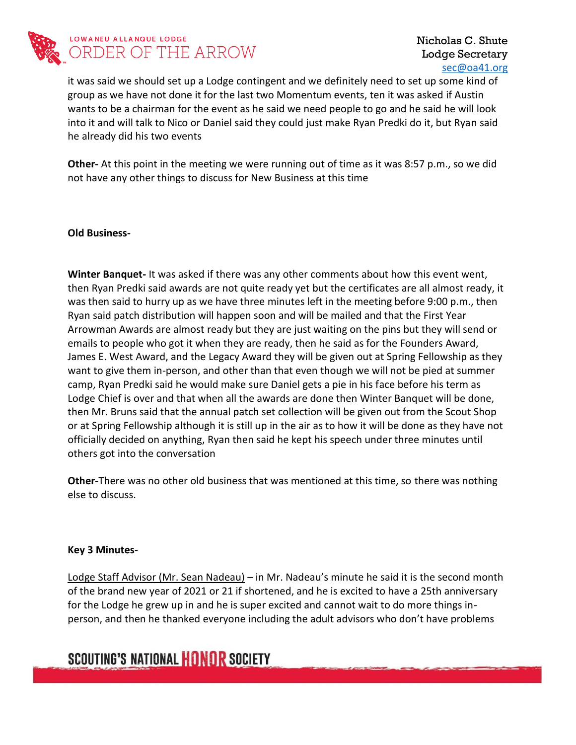

Nicholas C. Shute Lodge Secretary [sec@oa41.org](mailto:sec@oa41.org)

it was said we should set up a Lodge contingent and we definitely need to set up some kind of group as we have not done it for the last two Momentum events, ten it was asked if Austin wants to be a chairman for the event as he said we need people to go and he said he will look into it and will talk to Nico or Daniel said they could just make Ryan Predki do it, but Ryan said he already did his two events

**Other-** At this point in the meeting we were running out of time as it was 8:57 p.m., so we did not have any other things to discuss for New Business at this time

### **Old Business-**

**Winter Banquet-** It was asked if there was any other comments about how this event went, then Ryan Predki said awards are not quite ready yet but the certificates are all almost ready, it was then said to hurry up as we have three minutes left in the meeting before 9:00 p.m., then Ryan said patch distribution will happen soon and will be mailed and that the First Year Arrowman Awards are almost ready but they are just waiting on the pins but they will send or emails to people who got it when they are ready, then he said as for the Founders Award, James E. West Award, and the Legacy Award they will be given out at Spring Fellowship as they want to give them in-person, and other than that even though we will not be pied at summer camp, Ryan Predki said he would make sure Daniel gets a pie in his face before his term as Lodge Chief is over and that when all the awards are done then Winter Banquet will be done, then Mr. Bruns said that the annual patch set collection will be given out from the Scout Shop or at Spring Fellowship although it is still up in the air as to how it will be done as they have not officially decided on anything, Ryan then said he kept his speech under three minutes until others got into the conversation

**Other-**There was no other old business that was mentioned at this time, so there was nothing else to discuss.

#### **Key 3 Minutes-**

Lodge Staff Advisor (Mr. Sean Nadeau) – in Mr. Nadeau's minute he said it is the second month of the brand new year of 2021 or 21 if shortened, and he is excited to have a 25th anniversary for the Lodge he grew up in and he is super excited and cannot wait to do more things inperson, and then he thanked everyone including the adult advisors who don't have problems